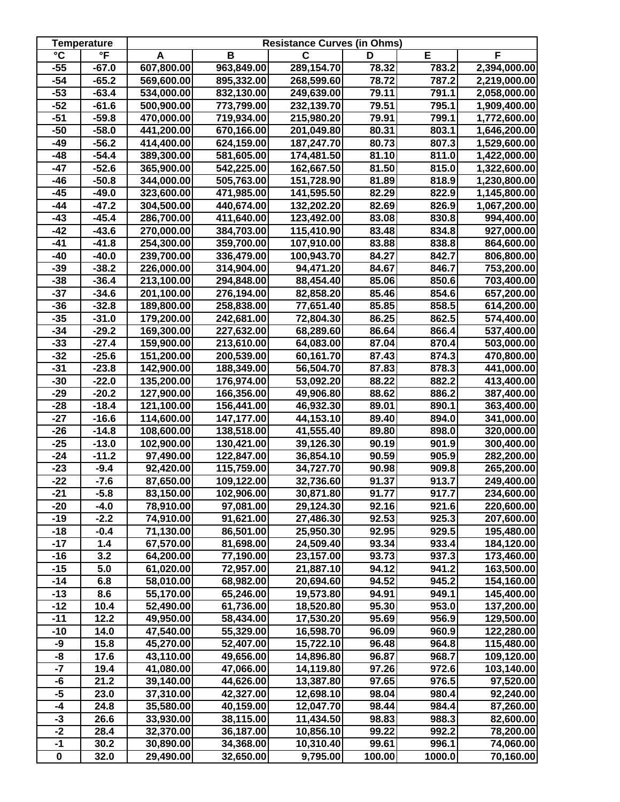|                       | <b>Temperature</b>      | <b>Resistance Curves (in Ohms)</b> |            |            |        |        |              |  |
|-----------------------|-------------------------|------------------------------------|------------|------------|--------|--------|--------------|--|
| $\overline{\text{c}}$ | $\overline{\mathsf{F}}$ | A                                  | В          | C          | D      | E      | F            |  |
| $-55$                 | $-67.0$                 | 607,800.00                         | 963,849.00 | 289,154.70 | 78.32  | 783.2  | 2,394,000.00 |  |
| $-54$                 | $-65.2$                 | 569,600.00                         | 895,332.00 | 268,599.60 | 78.72  | 787.2  | 2,219,000.00 |  |
| $-53$                 | $-63.4$                 | 534,000.00                         | 832,130.00 | 249,639.00 | 79.11  | 791.1  | 2,058,000.00 |  |
| $-52$                 | $-61.6$                 | 500,900.00                         | 773,799.00 | 232,139.70 | 79.51  | 795.1  | 1,909,400.00 |  |
| $-51$                 | $-59.8$                 | 470,000.00                         | 719,934.00 | 215,980.20 | 79.91  | 799.1  | 1,772,600.00 |  |
| $-50$                 | $-58.0$                 | 441,200.00                         | 670,166.00 | 201,049.80 | 80.31  | 803.1  | 1,646,200.00 |  |
| -49                   | $-56.2$                 | 414,400.00                         | 624,159.00 | 187,247.70 | 80.73  | 807.3  | 1,529,600.00 |  |
| $-48$                 | $-54.4$                 | 389,300.00                         | 581,605.00 | 174,481.50 | 81.10  | 811.0  | 1,422,000.00 |  |
| $-47$                 | $-52.6$                 | 365,900.00                         | 542,225.00 | 162,667.50 | 81.50  | 815.0  | 1,322,600.00 |  |
| $-46$                 | $-50.8$                 | 344,000.00                         | 505,763.00 | 151,728.90 | 81.89  | 818.9  | 1,230,800.00 |  |
| $-45$                 | $-49.0$                 | 323,600.00                         | 471,985.00 | 141,595.50 | 82.29  | 822.9  | 1,145,800.00 |  |
| $-44$                 | $-47.2$                 | 304,500.00                         | 440,674.00 | 132,202.20 | 82.69  | 826.9  | 1,067,200.00 |  |
| $-43$                 | $-45.4$                 | 286,700.00                         | 411,640.00 | 123,492.00 | 83.08  | 830.8  | 994,400.00   |  |
| $-42$                 | $-43.6$                 | 270,000.00                         | 384,703.00 | 115,410.90 | 83.48  | 834.8  | 927,000.00   |  |
| $-41$                 | $-41.8$                 | 254,300.00                         | 359,700.00 | 107,910.00 | 83.88  | 838.8  | 864,600.00   |  |
| $-40$                 | $-40.0$                 | 239,700.00                         | 336,479.00 | 100,943.70 | 84.27  | 842.7  | 806,800.00   |  |
| $-39$                 | $-38.2$                 | 226,000.00                         | 314,904.00 | 94,471.20  | 84.67  | 846.7  | 753,200.00   |  |
| $-38$                 | $-36.4$                 | 213,100.00                         | 294,848.00 | 88,454.40  | 85.06  | 850.6  | 703,400.00   |  |
| $-37$                 | $-34.6$                 | 201,100.00                         | 276,194.00 | 82,858.20  | 85.46  | 854.6  | 657,200.00   |  |
| $-36$                 | $-32.8$                 | 189,800.00                         | 258,838.00 | 77,651.40  | 85.85  | 858.5  | 614,200.00   |  |
| $-35$                 | $-31.0$                 | 179,200.00                         | 242,681.00 | 72,804.30  | 86.25  | 862.5  | 574,400.00   |  |
| $-34$                 | $-29.2$                 | 169,300.00                         | 227,632.00 | 68,289.60  | 86.64  | 866.4  | 537,400.00   |  |
| $-33$                 | $-27.4$                 | 159,900.00                         | 213,610.00 | 64,083.00  | 87.04  | 870.4  | 503,000.00   |  |
| $-32$                 | $-25.6$                 | 151,200.00                         | 200,539.00 | 60,161.70  | 87.43  | 874.3  | 470,800.00   |  |
| $-31$                 | $-23.8$                 | 142,900.00                         | 188,349.00 | 56,504.70  | 87.83  | 878.3  | 441,000.00   |  |
| $-30$                 | $-22.0$                 | 135,200.00                         | 176,974.00 | 53,092.20  | 88.22  | 882.2  | 413,400.00   |  |
| $-29$                 | $-20.2$                 | 127,900.00                         | 166,356.00 | 49,906.80  | 88.62  | 886.2  | 387,400.00   |  |
| $-28$                 | $-18.4$                 | 121,100.00                         | 156,441.00 | 46,932.30  | 89.01  | 890.1  | 363,400.00   |  |
| $-27$                 | $-16.6$                 | 114,600.00                         | 147,177.00 | 44,153.10  | 89.40  | 894.0  | 341,000.00   |  |
| $-26$                 | $-14.8$                 | 108,600.00                         | 138,518.00 | 41,555.40  | 89.80  | 898.0  | 320,000.00   |  |
| $-25$                 | $-13.0$                 | 102,900.00                         | 130,421.00 | 39,126.30  | 90.19  | 901.9  | 300,400.00   |  |
| $-24$                 | $-11.2$                 | 97,490.00                          | 122,847.00 | 36,854.10  | 90.59  | 905.9  | 282,200.00   |  |
| $-23$                 | $-9.4$                  | 92,420.00                          | 115,759.00 | 34,727.70  | 90.98  | 909.8  | 265,200.00   |  |
| $-22$                 | $-7.6$                  | 87,650.00                          | 109,122.00 | 32,736.60  | 91.37  | 913.7  | 249,400.00   |  |
| $-21$                 | $-5.8$                  | 83,150.00                          | 102,906.00 | 30,871.80  | 91.77  | 917.7  | 234,600.00   |  |
| $-20$                 | $-4.0$                  | 78,910.00                          | 97,081.00  | 29,124.30  | 92.16  | 921.6  | 220,600.00   |  |
| $-19$                 | $-2.2$                  | 74,910.00                          | 91,621.00  | 27,486.30  | 92.53  | 925.3  | 207,600.00   |  |
| $-18$                 | $-0.4$                  | 71,130.00                          | 86,501.00  | 25,950.30  | 92.95  | 929.5  | 195,480.00   |  |
| $-17$                 | 1.4                     | 67,570.00                          | 81,698.00  | 24,509.40  | 93.34  | 933.4  | 184,120.00   |  |
| $-16$                 | 3.2                     | 64,200.00                          | 77,190.00  | 23,157.00  | 93.73  | 937.3  | 173,460.00   |  |
| $-15$                 | 5.0                     | 61,020.00                          | 72,957.00  | 21,887.10  | 94.12  | 941.2  | 163,500.00   |  |
| $-14$                 | 6.8                     | 58,010.00                          | 68,982.00  | 20,694.60  | 94.52  | 945.2  | 154,160.00   |  |
| $-13$                 | 8.6                     | 55,170.00                          | 65,246.00  | 19,573.80  | 94.91  | 949.1  | 145,400.00   |  |
| $-12$                 | 10.4                    | 52,490.00                          | 61,736.00  | 18,520.80  | 95.30  | 953.0  | 137,200.00   |  |
| $-11$                 | 12.2                    | 49,950.00                          | 58,434.00  | 17,530.20  | 95.69  | 956.9  | 129,500.00   |  |
| $-10$                 | 14.0                    | 47,540.00                          | 55,329.00  | 16,598.70  | 96.09  | 960.9  | 122,280.00   |  |
| -9                    | 15.8                    | 45,270.00                          | 52,407.00  | 15,722.10  | 96.48  | 964.8  | 115,480.00   |  |
| -8                    | 17.6                    | 43,110.00                          | 49,656.00  | 14,896.80  | 96.87  | 968.7  | 109,120.00   |  |
| $-7$                  | 19.4                    | 41,080.00                          | 47,066.00  | 14,119.80  | 97.26  | 972.6  | 103,140.00   |  |
| -6                    | 21.2                    | 39,140.00                          | 44,626.00  | 13,387.80  | 97.65  | 976.5  | 97,520.00    |  |
| $-5$                  | 23.0                    | 37,310.00                          | 42,327.00  | 12,698.10  | 98.04  | 980.4  | 92,240.00    |  |
| $-4$                  | 24.8                    | 35,580.00                          | 40,159.00  | 12,047.70  | 98.44  | 984.4  | 87,260.00    |  |
| -3                    | 26.6                    | 33,930.00                          | 38,115.00  | 11,434.50  | 98.83  | 988.3  | 82,600.00    |  |
| $-2$                  | 28.4                    | 32,370.00                          | 36,187.00  | 10,856.10  | 99.22  | 992.2  | 78,200.00    |  |
| $-1$                  | 30.2                    | 30,890.00                          | 34,368.00  | 10,310.40  | 99.61  | 996.1  | 74,060.00    |  |
| $\pmb{0}$             | 32.0                    | 29,490.00                          | 32,650.00  | 9,795.00   | 100.00 | 1000.0 | 70,160.00    |  |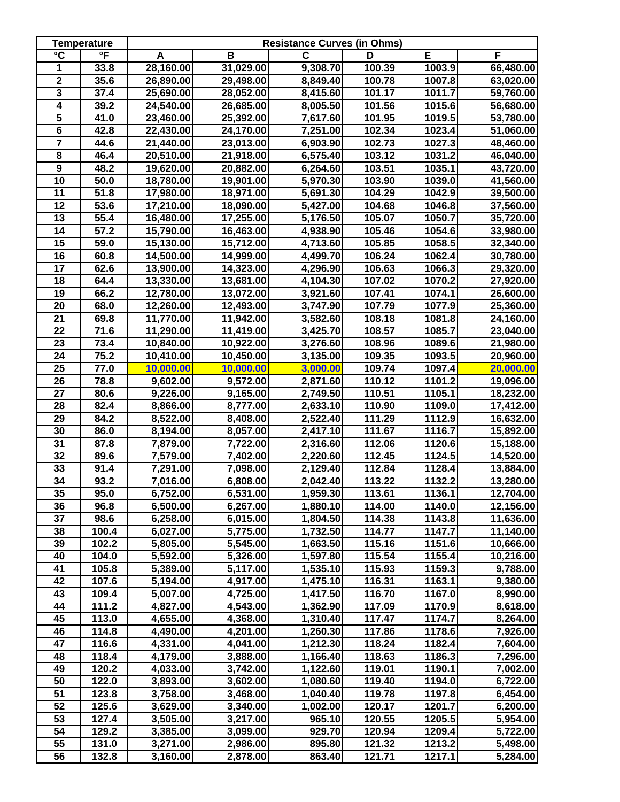|                         | <b>Temperature</b>      | <b>Resistance Curves (in Ohms)</b> |           |              |        |        |           |
|-------------------------|-------------------------|------------------------------------|-----------|--------------|--------|--------|-----------|
| $\overline{\text{c}}$   | $\overline{\mathsf{F}}$ | A                                  | B         | $\mathbf{C}$ | D      | E      | F         |
| 1                       | 33.8                    | 28,160.00                          | 31,029.00 | 9,308.70     | 100.39 | 1003.9 | 66,480.00 |
| $\overline{\mathbf{2}}$ | 35.6                    | 26,890.00                          | 29,498.00 | 8,849.40     | 100.78 | 1007.8 | 63,020.00 |
| $\overline{\mathbf{3}}$ | 37.4                    | 25,690.00                          | 28,052.00 | 8,415.60     | 101.17 | 1011.7 | 59,760.00 |
| 4                       | 39.2                    | 24,540.00                          | 26,685.00 | 8,005.50     | 101.56 | 1015.6 | 56,680.00 |
| 5                       | 41.0                    | 23,460.00                          | 25,392.00 | 7,617.60     | 101.95 | 1019.5 | 53,780.00 |
| $\overline{\mathbf{6}}$ | 42.8                    | 22,430.00                          | 24,170.00 | 7,251.00     | 102.34 | 1023.4 | 51,060.00 |
| $\overline{7}$          | 44.6                    | 21,440.00                          | 23,013.00 | 6,903.90     | 102.73 | 1027.3 | 48,460.00 |
| $\overline{\mathbf{8}}$ | 46.4                    | 20,510.00                          | 21,918.00 | 6,575.40     | 103.12 | 1031.2 | 46,040.00 |
| $\overline{9}$          | 48.2                    | 19,620.00                          | 20,882.00 | 6,264.60     | 103.51 | 1035.1 | 43,720.00 |
| $\overline{10}$         | 50.0                    | 18,780.00                          | 19,901.00 | 5,970.30     | 103.90 | 1039.0 | 41,560.00 |
| 11                      | 51.8                    | 17,980.00                          | 18,971.00 | 5,691.30     | 104.29 | 1042.9 | 39,500.00 |
| $\overline{12}$         | 53.6                    | 17,210.00                          | 18,090.00 | 5,427.00     | 104.68 | 1046.8 | 37,560.00 |
| $\overline{13}$         | 55.4                    | 16,480.00                          | 17,255.00 | 5,176.50     | 105.07 | 1050.7 | 35,720.00 |
| 14                      | 57.2                    | 15,790.00                          | 16,463.00 | 4,938.90     | 105.46 | 1054.6 | 33,980.00 |
| $\overline{15}$         | 59.0                    | 15,130.00                          | 15,712.00 | 4,713.60     | 105.85 | 1058.5 | 32,340.00 |
| $\overline{16}$         | 60.8                    | 14,500.00                          | 14,999.00 | 4,499.70     | 106.24 | 1062.4 | 30,780.00 |
| 17                      | 62.6                    | 13,900.00                          | 14,323.00 | 4,296.90     | 106.63 | 1066.3 | 29,320.00 |
| 18                      | 64.4                    | 13,330.00                          | 13,681.00 | 4,104.30     | 107.02 | 1070.2 | 27,920.00 |
| 19                      | 66.2                    | 12,780.00                          | 13,072.00 | 3,921.60     | 107.41 | 1074.1 | 26,600.00 |
| 20                      | 68.0                    | 12,260.00                          | 12,493.00 | 3,747.90     | 107.79 | 1077.9 | 25,360.00 |
| 21                      | 69.8                    | 11,770.00                          | 11,942.00 | 3,582.60     | 108.18 | 1081.8 | 24,160.00 |
| 22                      | 71.6                    | 11,290.00                          | 11,419.00 | 3,425.70     | 108.57 | 1085.7 | 23,040.00 |
| 23                      | 73.4                    | 10,840.00                          | 10,922.00 | 3,276.60     | 108.96 | 1089.6 | 21,980.00 |
| $\overline{24}$         | 75.2                    | 10,410.00                          | 10,450.00 | 3,135.00     | 109.35 | 1093.5 | 20,960.00 |
| 25                      | 77.0                    | 10,000.00                          | 10,000.00 | 3,000.00     | 109.74 | 1097.4 | 20,000.00 |
| 26                      | 78.8                    | 9,602.00                           | 9,572.00  | 2,871.60     | 110.12 | 1101.2 | 19,096.00 |
| $\overline{27}$         | 80.6                    | 9,226.00                           | 9,165.00  | 2,749.50     | 110.51 | 1105.1 | 18,232.00 |
| $\overline{28}$         | 82.4                    | 8,866.00                           | 8,777.00  | 2,633.10     | 110.90 | 1109.0 | 17,412.00 |
| $\overline{29}$         | 84.2                    | 8,522.00                           | 8,408.00  | 2,522.40     | 111.29 | 1112.9 | 16,632.00 |
| 30                      | 86.0                    | 8,194.00                           | 8,057.00  | 2,417.10     | 111.67 | 1116.7 | 15,892.00 |
| $\overline{31}$         | 87.8                    | 7,879.00                           | 7,722.00  | 2,316.60     | 112.06 | 1120.6 | 15,188.00 |
| 32                      | 89.6                    | 7,579.00                           | 7,402.00  | 2,220.60     | 112.45 | 1124.5 | 14,520.00 |
| 33                      | 91.4                    | 7,291.00                           | 7,098.00  | 2,129.40     | 112.84 | 1128.4 | 13,884.00 |
| 34                      | 93.2                    | 7,016.00                           | 6,808.00  | 2,042.40     | 113.22 | 1132.2 | 13,280.00 |
| 35                      | 95.0                    | 6,752.00                           | 6,531.00  | 1,959.30     | 113.61 | 1136.1 | 12,704.00 |
| 36                      | 96.8                    | 6,500.00                           | 6,267.00  | 1,880.10     | 114.00 | 1140.0 | 12,156.00 |
| 37                      | 98.6                    | 6,258.00                           | 6,015.00  | 1,804.50     | 114.38 | 1143.8 | 11,636.00 |
| 38                      | 100.4                   | 6,027.00                           | 5,775.00  | 1,732.50     | 114.77 | 1147.7 | 11,140.00 |
| 39                      | 102.2                   | 5,805.00                           | 5,545.00  | 1,663.50     | 115.16 | 1151.6 | 10,666.00 |
| 40                      | 104.0                   | 5,592.00                           | 5,326.00  | 1,597.80     | 115.54 | 1155.4 | 10,216.00 |
| 41                      | 105.8                   | 5,389.00                           | 5,117.00  | 1,535.10     | 115.93 | 1159.3 | 9,788.00  |
| 42                      | 107.6                   | 5,194.00                           | 4,917.00  | 1,475.10     | 116.31 | 1163.1 | 9,380.00  |
| 43                      | 109.4                   | 5,007.00                           | 4,725.00  | 1,417.50     | 116.70 | 1167.0 | 8,990.00  |
| 44                      | 111.2                   | 4,827.00                           | 4,543.00  | 1,362.90     | 117.09 | 1170.9 | 8,618.00  |
| 45                      | 113.0                   | 4,655.00                           | 4,368.00  | 1,310.40     | 117.47 | 1174.7 | 8,264.00  |
| 46                      | 114.8                   | 4,490.00                           | 4,201.00  | 1,260.30     | 117.86 | 1178.6 | 7,926.00  |
| 47                      | 116.6                   | 4,331.00                           | 4,041.00  | 1,212.30     | 118.24 | 1182.4 | 7,604.00  |
| 48                      | 118.4                   | 4,179.00                           | 3,888.00  | 1,166.40     | 118.63 | 1186.3 | 7,296.00  |
| 49                      | 120.2                   | 4,033.00                           | 3,742.00  | 1,122.60     | 119.01 | 1190.1 | 7,002.00  |
| 50                      | 122.0                   | 3,893.00                           | 3,602.00  | 1,080.60     | 119.40 | 1194.0 | 6,722.00  |
| 51                      | 123.8                   | 3,758.00                           | 3,468.00  | 1,040.40     | 119.78 | 1197.8 | 6,454.00  |
| 52                      | 125.6                   | 3,629.00                           | 3,340.00  | 1,002.00     | 120.17 | 1201.7 | 6,200.00  |
| $\overline{53}$         | 127.4                   | 3,505.00                           | 3,217.00  | 965.10       | 120.55 | 1205.5 | 5,954.00  |
| 54                      | 129.2                   | 3,385.00                           | 3,099.00  | 929.70       | 120.94 | 1209.4 | 5,722.00  |
| 55                      | 131.0                   | 3,271.00                           | 2,986.00  | 895.80       | 121.32 | 1213.2 | 5,498.00  |
| 56                      | 132.8                   | 3,160.00                           | 2,878.00  | 863.40       | 121.71 | 1217.1 | 5,284.00  |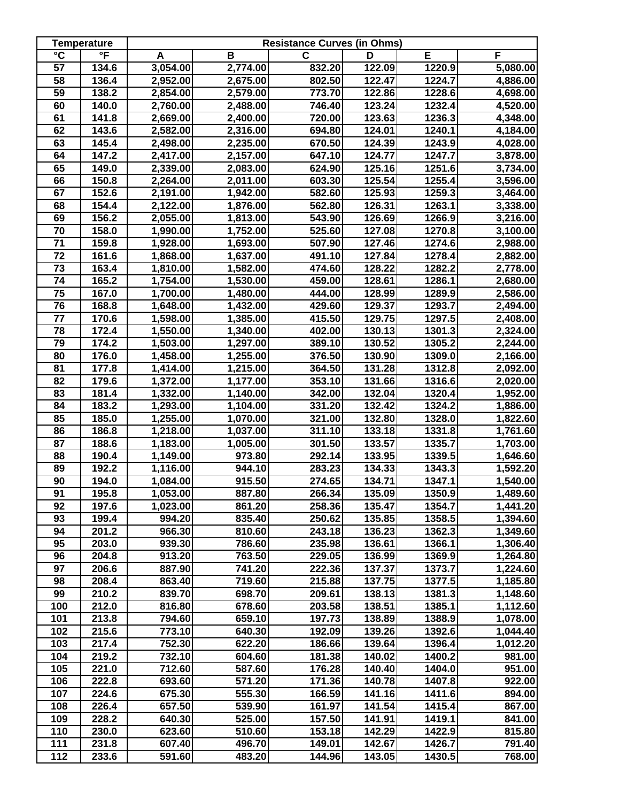|                       | <b>Temperature</b>      | <b>Resistance Curves (in Ohms)</b> |                     |        |        |        |          |  |
|-----------------------|-------------------------|------------------------------------|---------------------|--------|--------|--------|----------|--|
| $\overline{\text{c}}$ | $\overline{\mathsf{F}}$ | A                                  | В                   | C      | D      | E      | F        |  |
| $\overline{57}$       | 134.6                   | 3,054.00                           | 2,774.00            | 832.20 | 122.09 | 1220.9 | 5,080.00 |  |
| 58                    | 136.4                   | 2,952.00                           | 2,675.00            | 802.50 | 122.47 | 1224.7 | 4,886.00 |  |
| 59                    | 138.2                   | 2,854.00                           | 2,579.00            | 773.70 | 122.86 | 1228.6 | 4,698.00 |  |
| 60                    | 140.0                   | 2,760.00                           | 2,488.00            | 746.40 | 123.24 | 1232.4 | 4,520.00 |  |
| 61                    | 141.8                   | 2,669.00                           | 2,400.00            | 720.00 | 123.63 | 1236.3 | 4,348.00 |  |
| 62                    | 143.6                   | 2,582.00                           | 2,316.00            | 694.80 | 124.01 | 1240.1 | 4,184.00 |  |
| 63                    | 145.4                   | 2,498.00                           | 2,235.00            | 670.50 | 124.39 | 1243.9 | 4,028.00 |  |
| 64                    | 147.2                   | 2,417.00                           | 2,157.00            | 647.10 | 124.77 | 1247.7 | 3,878.00 |  |
| 65                    | 149.0                   | 2,339.00                           | 2,083.00            | 624.90 | 125.16 | 1251.6 | 3,734.00 |  |
| 66                    | 150.8                   | 2,264.00                           | 2,011.00            | 603.30 | 125.54 | 1255.4 | 3,596.00 |  |
| 67                    | 152.6                   | 2,191.00                           | 1,942.00            | 582.60 | 125.93 | 1259.3 | 3,464.00 |  |
| 68                    | 154.4                   | 2,122.00                           | 1,876.00            | 562.80 | 126.31 | 1263.1 | 3,338.00 |  |
| 69                    | 156.2                   | 2,055.00                           | 1,813.00            | 543.90 | 126.69 | 1266.9 | 3,216.00 |  |
| $\overline{70}$       | 158.0                   | 1,990.00                           | 1,752.00            | 525.60 | 127.08 | 1270.8 | 3,100.00 |  |
| 71                    | 159.8                   | 1,928.00                           | 1,693.00            | 507.90 | 127.46 | 1274.6 | 2,988.00 |  |
| 72                    | 161.6                   | 1,868.00                           | 1,637.00            | 491.10 | 127.84 | 1278.4 | 2,882.00 |  |
| $\overline{73}$       | 163.4                   | 1,810.00                           | 1,582.00            | 474.60 | 128.22 | 1282.2 | 2,778.00 |  |
| 74                    | 165.2                   | 1,754.00                           | 1,530.00            | 459.00 | 128.61 | 1286.1 | 2,680.00 |  |
| 75                    | 167.0                   | 1,700.00                           | 1,480.00            | 444.00 | 128.99 | 1289.9 | 2,586.00 |  |
| 76                    | 168.8                   | 1,648.00                           | 1,432.00            | 429.60 | 129.37 | 1293.7 | 2,494.00 |  |
| $\overline{77}$       | 170.6                   | 1,598.00                           | 1,385.00            | 415.50 | 129.75 | 1297.5 | 2,408.00 |  |
| 78                    | 172.4                   | 1,550.00                           | 1,340.00            | 402.00 | 130.13 | 1301.3 | 2,324.00 |  |
| 79                    | 174.2                   | 1,503.00                           | 1,297.00            | 389.10 | 130.52 | 1305.2 | 2,244.00 |  |
| 80                    | 176.0                   | 1,458.00                           | 1,255.00            | 376.50 | 130.90 | 1309.0 | 2,166.00 |  |
| 81                    | 177.8                   | 1,414.00                           | 1,215.00            | 364.50 | 131.28 | 1312.8 | 2,092.00 |  |
| 82                    | 179.6                   | 1,372.00                           | 1,177.00            | 353.10 | 131.66 | 1316.6 | 2,020.00 |  |
| 83                    | 181.4                   | 1,332.00                           | 1,140.00            | 342.00 | 132.04 | 1320.4 | 1,952.00 |  |
| $\overline{84}$       | 183.2                   | 1,293.00                           | 1,104.00            | 331.20 | 132.42 | 1324.2 | 1,886.00 |  |
| 85                    | 185.0                   | 1,255.00                           | 1,070.00            | 321.00 | 132.80 | 1328.0 | 1,822.60 |  |
| 86                    | 186.8                   | 1,218.00                           | 1,037.00            | 311.10 | 133.18 | 1331.8 | 1,761.60 |  |
| 87                    | 188.6                   | 1,183.00                           | 1,005.00            | 301.50 | 133.57 | 1335.7 | 1,703.00 |  |
| 88                    | 190.4                   | 1,149.00                           | 973.80              | 292.14 | 133.95 | 1339.5 | 1,646.60 |  |
| 89                    | 192.2                   | 1,116.00                           | 944.10              | 283.23 | 134.33 | 1343.3 | 1,592.20 |  |
| 90                    | 194.0                   | 1,084.00                           | 915.50              | 274.65 | 134.71 | 1347.1 | 1,540.00 |  |
| 91                    | 195.8                   | 1,053.00                           | 887.80              | 266.34 | 135.09 | 1350.9 | 1,489.60 |  |
| 92                    | 197.6                   | 1,023.00                           | 861.20              | 258.36 | 135.47 | 1354.7 | 1,441.20 |  |
| 93                    | 199.4                   | 994.20                             | 835.40              | 250.62 | 135.85 | 1358.5 | 1,394.60 |  |
| 94                    | 201.2                   | 966.30                             | 810.60              | 243.18 | 136.23 | 1362.3 | 1,349.60 |  |
| 95                    | 203.0                   | 939.30                             | 786.60              | 235.98 | 136.61 | 1366.1 | 1,306.40 |  |
| 96                    | 204.8                   | 913.20                             | 763.50              | 229.05 | 136.99 | 1369.9 | 1,264.80 |  |
| 97                    | 206.6                   | 887.90                             | $\overline{741}.20$ | 222.36 | 137.37 | 1373.7 | 1,224.60 |  |
| 98                    | 208.4                   | 863.40                             | 719.60              | 215.88 | 137.75 | 1377.5 | 1,185.80 |  |
| 99                    | 210.2                   | 839.70                             | 698.70              | 209.61 | 138.13 | 1381.3 | 1,148.60 |  |
| 100                   | 212.0                   | 816.80                             | 678.60              | 203.58 | 138.51 | 1385.1 | 1,112.60 |  |
| 101                   | 213.8                   | 794.60                             | 659.10              | 197.73 | 138.89 | 1388.9 | 1,078.00 |  |
| 102                   | 215.6                   | 773.10                             | 640.30              | 192.09 | 139.26 | 1392.6 | 1,044.40 |  |
| 103                   | 217.4                   | 752.30                             | 622.20              | 186.66 | 139.64 | 1396.4 | 1,012.20 |  |
| 104                   | 219.2                   | 732.10                             | 604.60              | 181.38 | 140.02 | 1400.2 | 981.00   |  |
| 105                   | 221.0                   | 712.60                             | 587.60              | 176.28 | 140.40 | 1404.0 | 951.00   |  |
| 106                   | 222.8                   | 693.60                             | 571.20              | 171.36 | 140.78 | 1407.8 | 922.00   |  |
| 107                   | 224.6                   | 675.30                             | 555.30              | 166.59 | 141.16 | 1411.6 | 894.00   |  |
| 108                   | 226.4                   | 657.50                             | 539.90              | 161.97 | 141.54 | 1415.4 | 867.00   |  |
| 109                   | 228.2                   | 640.30                             | 525.00              | 157.50 | 141.91 | 1419.1 | 841.00   |  |
| 110                   | 230.0                   | 623.60                             | 510.60              | 153.18 | 142.29 | 1422.9 | 815.80   |  |
| 111                   | 231.8                   | 607.40                             | 496.70              | 149.01 | 142.67 | 1426.7 | 791.40   |  |
| 112                   | 233.6                   | 591.60                             | 483.20              | 144.96 | 143.05 | 1430.5 | 768.00   |  |